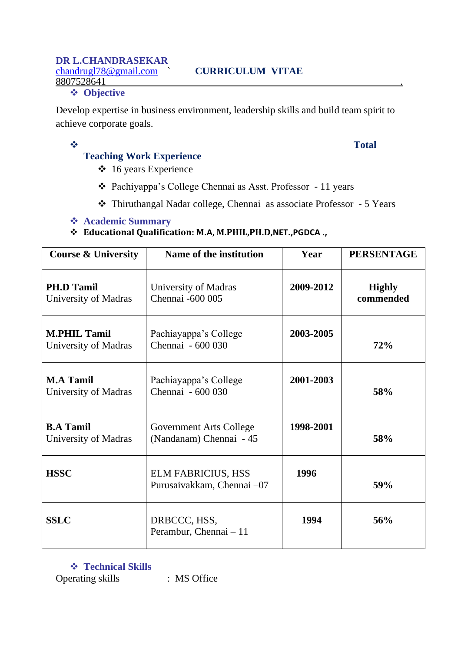#### ❖ **Objective**

Develop expertise in business environment, leadership skills and build team spirit to achieve corporate goals.

# ❖ **Total**

## **Teaching Work Experience**

- ❖ 16 years Experience
- ❖ Pachiyappa's College Chennai as Asst. Professor 11 years
- ❖ Thiruthangal Nadar college, Chennai as associate Professor 5 Years

### ❖ **Academic Summary**

## ❖ **Educational Qualification: M.A, M.PHIL,PH.D,NET.,PGDCA .,**

| <b>Course &amp; University</b>              | Name of the institution                                   | Year      | <b>PERSENTAGE</b>          |
|---------------------------------------------|-----------------------------------------------------------|-----------|----------------------------|
| <b>PH.D Tamil</b><br>University of Madras   | University of Madras<br>Chennai -600 005                  | 2009-2012 | <b>Highly</b><br>commended |
| <b>M.PHIL Tamil</b><br>University of Madras | Pachiayappa's College<br>Chennai - 600 030                | 2003-2005 | 72%                        |
| <b>M.A Tamil</b><br>University of Madras    | Pachiayappa's College<br>Chennai - 600 030                | 2001-2003 | 58%                        |
| <b>B.A Tamil</b><br>University of Madras    | <b>Government Arts College</b><br>(Nandanam) Chennai - 45 | 1998-2001 | 58%                        |
| <b>HSSC</b>                                 | <b>ELM FABRICIUS, HSS</b><br>Purusaivakkam, Chennai -07   | 1996      | 59%                        |
| <b>SSLC</b>                                 | DRBCCC, HSS,<br>Perambur, Chennai - 11                    | 1994      | 56%                        |

❖ **Technical Skills**  Operating skills : MS Office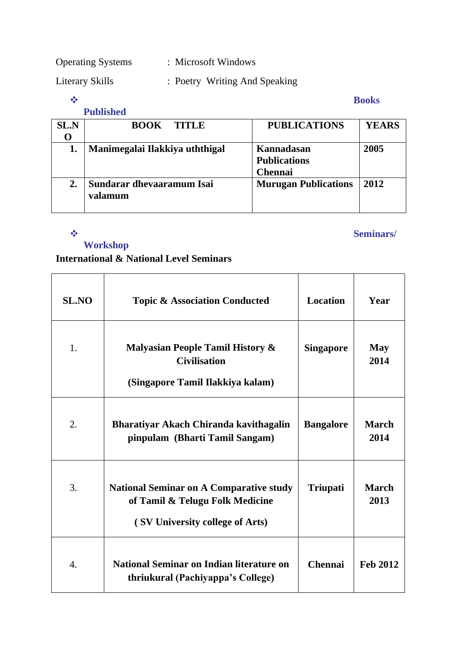Operating Systems : Microsoft Windows

Literary Skills : Poetry Writing And Speaking

#### ❖ **Books**

|             | <b>Published</b>                     |                                                     |              |
|-------------|--------------------------------------|-----------------------------------------------------|--------------|
| <b>SL.N</b> | <b>BOOK</b><br><b>TITLE</b>          | <b>PUBLICATIONS</b>                                 | <b>YEARS</b> |
|             | Manimegalai Ilakkiya uththigal       | Kannadasan<br><b>Publications</b><br><b>Chennai</b> | 2005         |
| 2.          | Sundarar dhevaaramum Isai<br>valamum | <b>Murugan Publications</b>                         | 2012         |

#### ❖ **Seminars/**

**Workshop**

## **International & National Level Seminars**

| <b>SL.NO</b> | <b>Topic &amp; Association Conducted</b>                                                                             | <b>Location</b>  | Year                 |
|--------------|----------------------------------------------------------------------------------------------------------------------|------------------|----------------------|
| 1.           | <b>Malyasian People Tamil History &amp;</b><br><b>Civilisation</b><br>(Singapore Tamil Ilakkiya kalam)               | <b>Singapore</b> | <b>May</b><br>2014   |
| 2.           | Bharatiyar Akach Chiranda kavithagalin<br>pinpulam (Bharti Tamil Sangam)                                             | <b>Bangalore</b> | <b>March</b><br>2014 |
| 3.           | <b>National Seminar on A Comparative study</b><br>of Tamil & Telugu Folk Medicine<br>(SV University college of Arts) | <b>Triupati</b>  | <b>March</b><br>2013 |
| 4.           | <b>National Seminar on Indian literature on</b><br>thriukural (Pachiyappa's College)                                 | <b>Chennai</b>   | <b>Feb 2012</b>      |